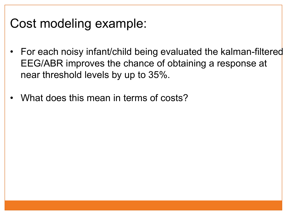## Cost modeling example:

- For each noisy infant/child being evaluated the kalman-filtered EEG/ABR improves the chance of obtaining a response at near threshold levels by up to 35%.
- What does this mean in terms of costs?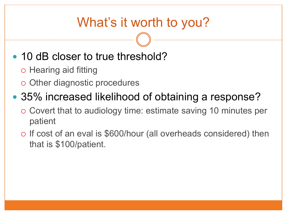# What's it worth to you?

#### • 10 dB closer to true threshold?

- o Hearing aid fitting
- o Other diagnostic procedures

#### • 35% increased likelihood of obtaining a response?

- o Covert that to audiology time: estimate saving 10 minutes per patient
- ! If cost of an eval is \$600/hour (all overheads considered) then that is \$100/patient.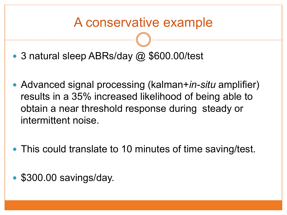## A conservative example

- 3 natural sleep ABRs/day @ \$600.00/test
- ! Advanced signal processing (kalman+*in-situ* amplifier) results in a 35% increased likelihood of being able to obtain a near threshold response during steady or intermittent noise.
- This could translate to 10 minutes of time saving/test.
- \$300.00 savings/day.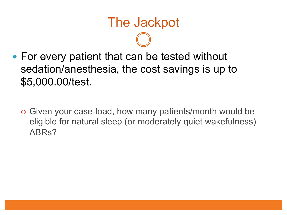- For every patient that can be tested without sedation/anesthesia, the cost savings is up to \$5,000.00/test.
	- o Given your case-load, how many patients/month would be eligible for natural sleep (or moderately quiet wakefulness) ABRs?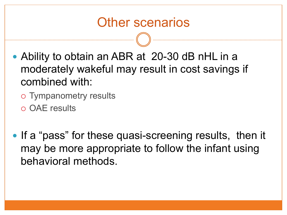#### Other scenarios

- Ability to obtain an ABR at 20-30 dB nHL in a moderately wakeful may result in cost savings if combined with:
	- o Tympanometry results
	- o OAE results
- If a "pass" for these quasi-screening results, then it may be more appropriate to follow the infant using behavioral methods.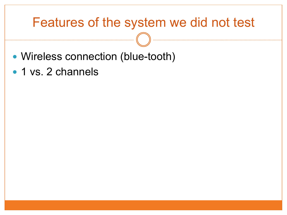#### Features of the system we did not test

- Wireless connection (blue-tooth)
- 1 vs. 2 channels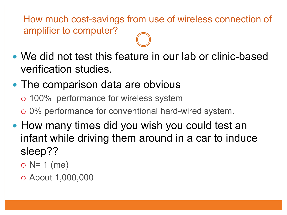How much cost-savings from use of wireless connection of amplifier to computer?

• We did not test this feature in our lab or clinic-based verification studies.

#### • The comparison data are obvious

- o 100% performance for wireless system
- o 0% performance for conventional hard-wired system.
- How many times did you wish you could test an infant while driving them around in a car to induce sleep??
	- $\circ$  N= 1 (me)
	- ! About 1,000,000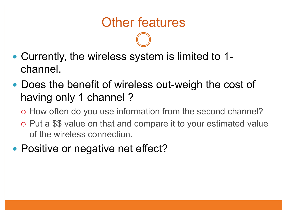## Other features

- Currently, the wireless system is limited to 1channel.
- Does the benefit of wireless out-weigh the cost of having only 1 channel ?
	- o How often do you use information from the second channel?
	- ! Put a \$\$ value on that and compare it to your estimated value of the wireless connection.
- Positive or negative net effect?